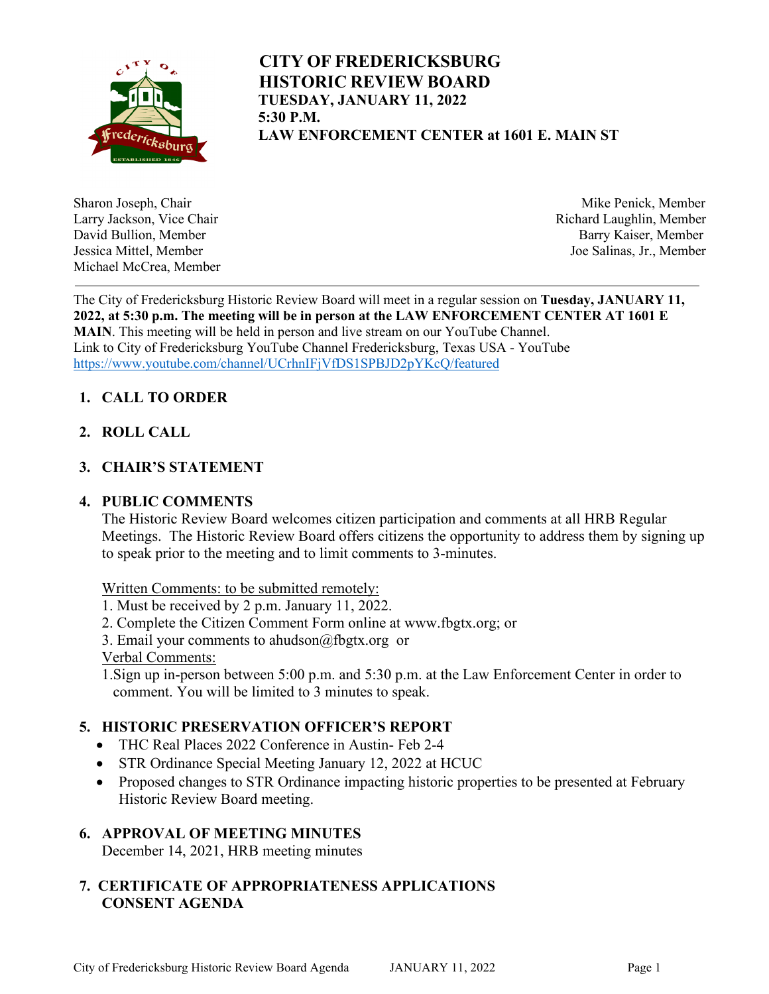

# **CITY OF FREDERICKSBURG HISTORIC REVIEW BOARD TUESDAY, JANUARY 11, 2022 5:30 P.M. LAW ENFORCEMENT CENTER at 1601 E. MAIN ST**

Larry Jackson, Vice Chair **Richard Laughlin, Member** Richard Laughlin, Member David Bullion, Member Barry Kaiser, Member Michael McCrea, Member

Sharon Joseph, Chair **Mike Penick, Member** Mike Penick, Member Jessica Mittel, Member Joe Salinas, Jr., Member

The City of Fredericksburg Historic Review Board will meet in a regular session on **Tuesday, JANUARY 11, 2022, at 5:30 p.m. The meeting will be in person at the LAW ENFORCEMENT CENTER AT 1601 E MAIN**. This meeting will be held in person and live stream on our YouTube Channel. Link to City of Fredericksburg YouTube Channel Fredericksburg, Texas USA - YouTube <https://www.youtube.com/channel/UCrhnIFjVfDS1SPBJD2pYKcQ/featured>

## **1. CALL TO ORDER**

**2. ROLL CALL**

### **3. CHAIR'S STATEMENT**

#### **4. PUBLIC COMMENTS**

The Historic Review Board welcomes citizen participation and comments at all HRB Regular Meetings. The Historic Review Board offers citizens the opportunity to address them by signing up to speak prior to the meeting and to limit comments to 3-minutes.

Written Comments: to be submitted remotely:

- 1. Must be received by 2 p.m. January 11, 2022.
- 2. Complete the Citizen Comment Form online at www.fbgtx.org; or
- 3. Email your comments to ahudson@fbgtx.org or

Verbal Comments:

1.Sign up in-person between 5:00 p.m. and 5:30 p.m. at the Law Enforcement Center in order to comment. You will be limited to 3 minutes to speak.

### **5. HISTORIC PRESERVATION OFFICER'S REPORT**

- THC Real Places 2022 Conference in Austin- Feb 2-4
- STR Ordinance Special Meeting January 12, 2022 at HCUC
- Proposed changes to STR Ordinance impacting historic properties to be presented at February Historic Review Board meeting.

### **6. APPROVAL OF MEETING MINUTES**

December 14, 2021, HRB meeting minutes

### **7. CERTIFICATE OF APPROPRIATENESS APPLICATIONS CONSENT AGENDA**